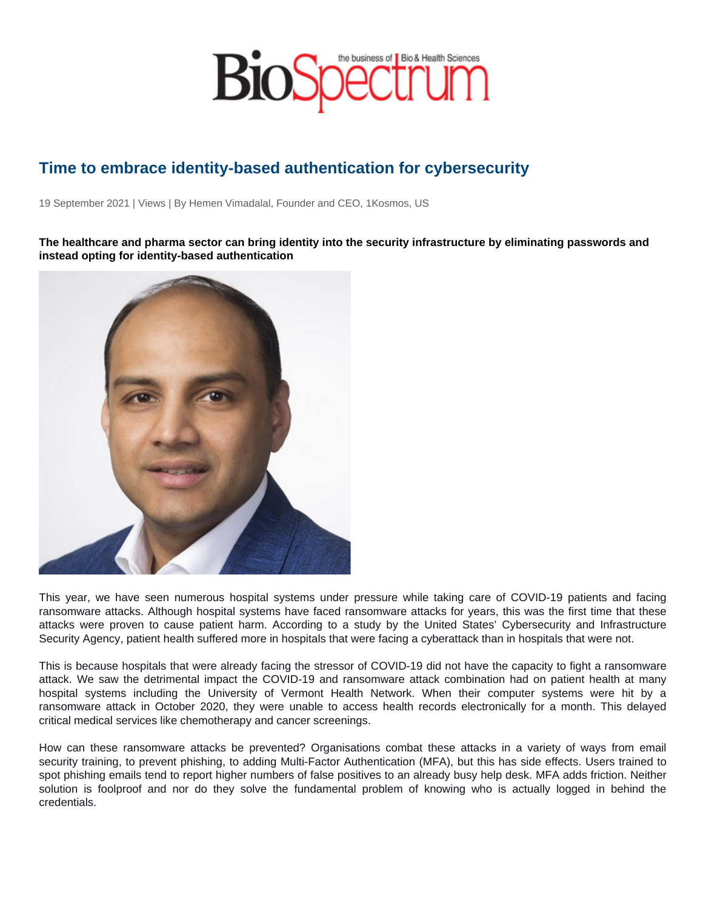## Time to embrace identity-based authentication for cybersecurity

19 September 2021 | Views | By Hemen Vimadalal, Founder and CEO, 1Kosmos, US

The healthcare and pharma sector can bring identity into the security infrastructure by eliminating passwords and instead opting for identity-based authentication

This year, we have seen numerous hospital systems under pressure while taking care of COVID-19 patients and facing ransomware attacks. Although hospital systems have faced ransomware attacks for years, this was the first time that these attacks were proven to cause patient harm. According to a study by the United States' Cybersecurity and Infrastructure Security Agency, patient health suffered more in hospitals that were facing a cyberattack than in hospitals that were not.

This is because hospitals that were already facing the stressor of COVID-19 did not have the capacity to fight a ransomware attack. We saw the detrimental impact the COVID-19 and ransomware attack combination had on patient health at many hospital systems including the University of Vermont Health Network. When their computer systems were hit by a ransomware attack in October 2020, they were unable to access health records electronically for a month. This delayed critical medical services like chemotherapy and cancer screenings.

How can these ransomware attacks be prevented? Organisations combat these attacks in a variety of ways from email security training, to prevent phishing, to adding Multi-Factor Authentication (MFA), but this has side effects. Users trained to spot phishing emails tend to report higher numbers of false positives to an already busy help desk. MFA adds friction. Neither solution is foolproof and nor do they solve the fundamental problem of knowing who is actually logged in behind the credentials.